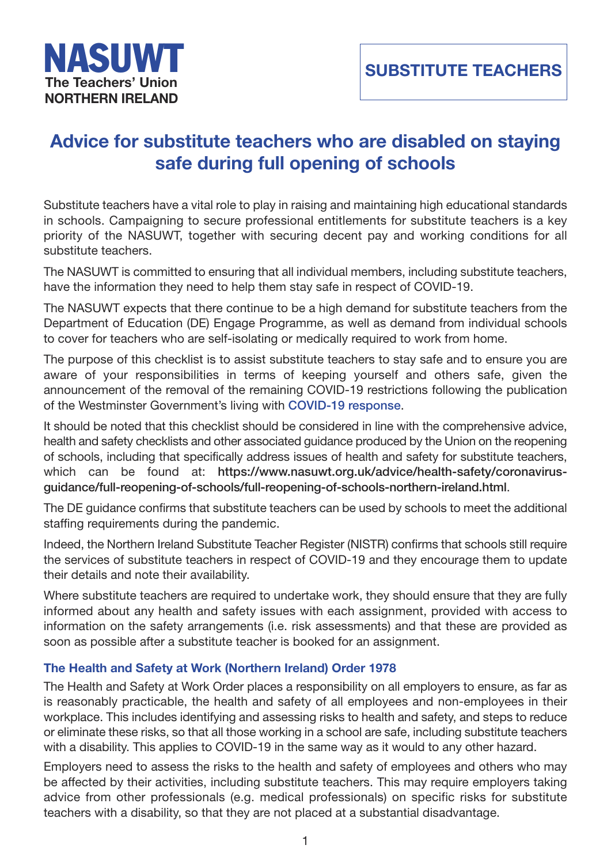# **Advice for substitute teachers who are disabled on staying safe during full opening of schools**

Substitute teachers have a vital role to play in raising and maintaining high educational standards in schools. Campaigning to secure professional entitlements for substitute teachers is a key priority of the NASUWT, together with securing decent pay and working conditions for all substitute teachers.

The NASUWT is committed to ensuring that all individual members, including substitute teachers, have the information they need to help them stay safe in respect of COVID-19.

The NASUWT expects that there continue to be a high demand for substitute teachers from the Department of Education (DE) Engage Programme, as well as demand from individual schools to cover for teachers who are self-isolating or medically required to work from home.

The purpose of this checklist is to assist substitute teachers to stay safe and to ensure you are aware of your responsibilities in terms of keeping yourself and others safe, given the announcement of the removal of the remaining COVID-19 restrictions following the publication of the Westminster Government's living with **COVID-19 response**.

It should be noted that this checklist should be considered in line with the comprehensive advice, health and safety checklists and other associated guidance produced by the Union on the reopening of schools, including that specifically addres[s issues of health and](https://www.gov.uk/government/publications/covid-19-response-living-with-covid-19) safety for substitute teachers, which can be found at: **https://www.nasuwt.org.uk/advice/health-safety/coronavirusguidance/full-reopening-of-schools/full-reopening-of-schools-northern-ireland.html**.

The DE guidance confirms that substitute teachers can be used by schools to meet the additional staffing requirements during th[e pandemic.](https://www.nasuwt.org.uk/advice/health-safety/coronavirus-guidance/full-reopening-of-schools/full-reopening-of-schools-northern-ireland.html) 

[Indeed, the Northern Ireland Substitute Teacher Register \(NISTR\) confirms that schools](https://www.nasuwt.org.uk/advice/health-safety/coronavirus-guidance/full-reopening-of-schools/full-reopening-of-schools-northern-ireland.html) still require the services of substitute teachers in respect of COVID-19 and they encourage them to update their details and note their availability.

Where substitute teachers are required to undertake work, they should ensure that they are fully informed about any health and safety issues with each assignment, provided with access to information on the safety arrangements (i.e. risk assessments) and that these are provided as soon as possible after a substitute teacher is booked for an assignment.

## **The Health and Safety at Work (Northern Ireland) Order 1978**

The Health and Safety at Work Order places a responsibility on all employers to ensure, as far as is reasonably practicable, the health and safety of all employees and non-employees in their workplace. This includes identifying and assessing risks to health and safety, and steps to reduce or eliminate these risks, so that all those working in a school are safe, including substitute teachers with a disability. This applies to COVID-19 in the same way as it would to any other hazard.

Employers need to assess the risks to the health and safety of employees and others who may be affected by their activities, including substitute teachers. This may require employers taking advice from other professionals (e.g. medical professionals) on specific risks for substitute teachers with a disability, so that they are not placed at a substantial disadvantage.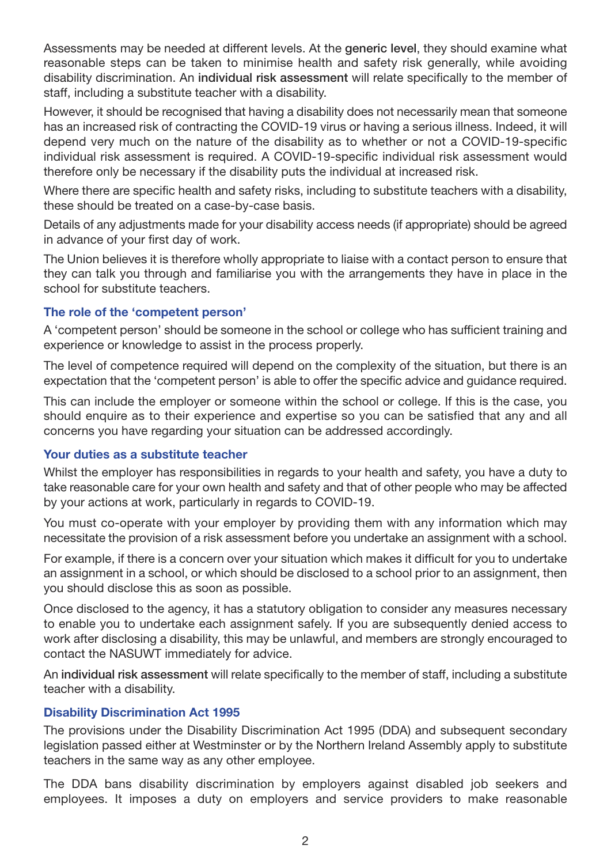Assessments may be needed at different levels. At the **generic level**, they should examine what reasonable steps can be taken to minimise health and safety risk generally, while avoiding disability discrimination. An **individual risk assessment** will relate specifically to the member of staff, including a substitute teacher with a disability.

However, it should be recognised that having a disability does not necessarily mean that someone has an increased risk of contracting the COVID-19 virus or having a serious illness. Indeed, it will depend very much on the nature of the disability as to whether or not a COVID-19-specific individual risk assessment is required. A COVID-19-specific individual risk assessment would therefore only be necessary if the disability puts the individual at increased risk.

Where there are specific health and safety risks, including to substitute teachers with a disability, these should be treated on a case-by-case basis.

Details of any adjustments made for your disability access needs (if appropriate) should be agreed in advance of your first day of work.

The Union believes it is therefore wholly appropriate to liaise with a contact person to ensure that they can talk you through and familiarise you with the arrangements they have in place in the school for substitute teachers.

## **The role of the 'competent person'**

A 'competent person' should be someone in the school or college who has sufficient training and experience or knowledge to assist in the process properly.

The level of competence required will depend on the complexity of the situation, but there is an expectation that the 'competent person' is able to offer the specific advice and guidance required.

This can include the employer or someone within the school or college. If this is the case, you should enquire as to their experience and expertise so you can be satisfied that any and all concerns you have regarding your situation can be addressed accordingly.

### **Your duties as a substitute teacher**

Whilst the employer has responsibilities in regards to your health and safety, you have a duty to take reasonable care for your own health and safety and that of other people who may be affected by your actions at work, particularly in regards to COVID-19.

You must co-operate with your employer by providing them with any information which may necessitate the provision of a risk assessment before you undertake an assignment with a school.

For example, if there is a concern over your situation which makes it difficult for you to undertake an assignment in a school, or which should be disclosed to a school prior to an assignment, then you should disclose this as soon as possible.

Once disclosed to the agency, it has a statutory obligation to consider any measures necessary to enable you to undertake each assignment safely. If you are subsequently denied access to work after disclosing a disability, this may be unlawful, and members are strongly encouraged to contact the NASUWT immediately for advice.

An **individual risk assessment** will relate specifically to the member of staff, including a substitute teacher with a disability.

### **Disability Discrimination Act 1995**

The provisions under the Disability Discrimination Act 1995 (DDA) and subsequent secondary legislation passed either at Westminster or by the Northern Ireland Assembly apply to substitute teachers in the same way as any other employee.

The DDA bans disability discrimination by employers against disabled job seekers and employees. It imposes a duty on employers and service providers to make reasonable